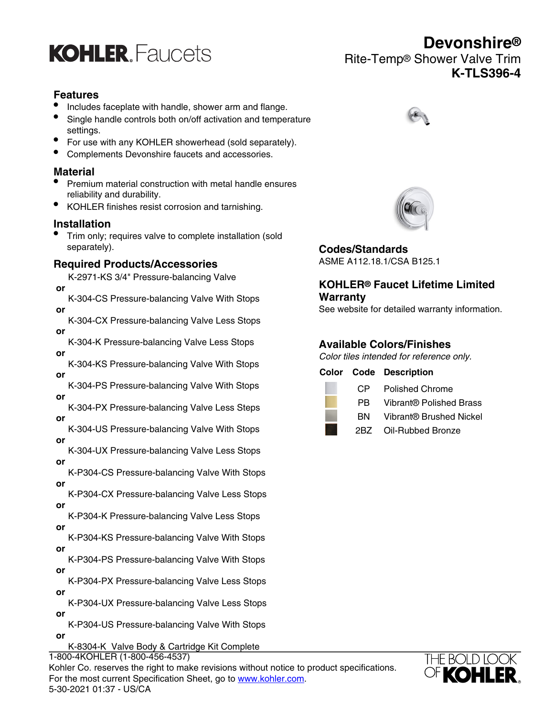

# **Features**

- Includes faceplate with handle, shower arm and flange.
- Single handle controls both on/off activation and temperature settings.
- For use with any KOHLER showerhead (sold separately).
- Complements Devonshire faucets and accessories.

# **Material**

- Premium material construction with metal handle ensures reliability and durability.
- KOHLER finishes resist corrosion and tarnishing.

### **Installation**

• Trim only; requires valve to complete installation (sold separately).

### **Required Products/Accessories**

- K-2971-KS 3/4" Pressure-balancing Valve  **or**
- K-304-CS Pressure-balancing Valve With Stops  **or**
- K-304-CX Pressure-balancing Valve Less Stops  **or**
- K-304-K Pressure-balancing Valve Less Stops  **or**
- K-304-KS Pressure-balancing Valve With Stops  **or**
- K-304-PS Pressure-balancing Valve With Stops  **or**
- K-304-PX Pressure-balancing Valve Less Steps  **or**
- K-304-US Pressure-balancing Valve With Stops  **or**
- K-304-UX Pressure-balancing Valve Less Stops  **or**
- K-P304-CS Pressure-balancing Valve With Stops  **or**
- K-P304-CX Pressure-balancing Valve Less Stops  **or**
- K-P304-K Pressure-balancing Valve Less Stops  **or**
- K-P304-KS Pressure-balancing Valve With Stops  **or**
- K-P304-PS Pressure-balancing Valve With Stops  **or**
- K-P304-PX Pressure-balancing Valve Less Stops  **or**
- K-P304-UX Pressure-balancing Valve Less Stops  **or**
- K-P304-US Pressure-balancing Valve With Stops  **or**
	- K-8304-K Valve Body & Cartridge Kit Complete

 **or** 1-800-4KOHLER (1-800-456-4537) Kohler Co. reserves the right to make revisions without notice to product specifications. For the most current Specification Sheet, go to [www.kohler.com](http://www.kohler.com). 5-30-2021 01:37 - US/CA





**Codes/Standards** ASME A112.18.1/CSA B125.1

# **KOHLER® Faucet Lifetime Limited Warranty**

See website for detailed warranty information.

# **Available Colors/Finishes**

Color tiles intended for reference only.

|       | <b>Color Code Description</b> |
|-------|-------------------------------|
| CP.   | <b>Polished Chrome</b>        |
| PB.   | Vibrant® Polished Brass       |
| BN.   | Vibrant® Brushed Nickel       |
| 2BZ - | Oil-Rubbed Bronze             |



**Devonshire®** Rite-Temp® Shower Valve Trim **K-TLS396-4**